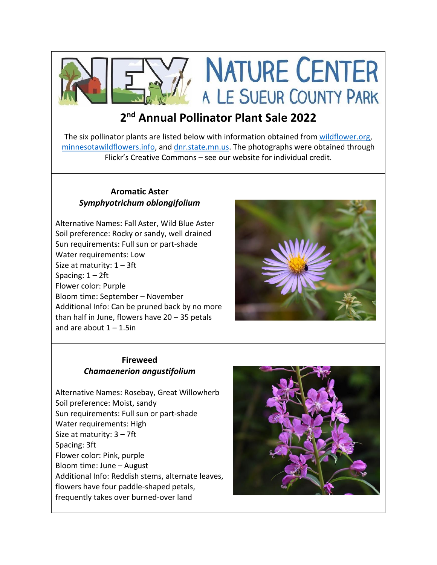

**NATURE CENTER** A LE SUEUR COUNTY PARK

# **2 nd Annual Pollinator Plant Sale 2022**

The six pollinator plants are listed below with information obtained fro[m wildflower.org,](file:///C:/Users/NeyUser/Desktop/wildflower.org) [minnesotawildflowers.info,](file:///C:/Users/NeyUser/Desktop/minnesotawildflowers.info) an[d dnr.state.mn.us.](file:///C:/Users/NeyUser/Desktop/dnr.state.mn.us) The photographs were obtained through Flickr's Creative Commons – see our website for individual credit.

#### **Aromatic Aster** *Symphyotrichum oblongifolium*

Alternative Names: Fall Aster, Wild Blue Aster Soil preference: Rocky or sandy, well drained Sun requirements: Full sun or part-shade Water requirements: Low Size at maturity:  $1 - 3$ ft Spacing:  $1 - 2$ ft Flower color: Purple Bloom time: September – November Additional Info: Can be pruned back by no more than half in June, flowers have 20 – 35 petals and are about  $1 - 1.5$ in



### **Fireweed** *Chamaenerion angustifolium*

Alternative Names: Rosebay, Great Willowherb Soil preference: Moist, sandy Sun requirements: Full sun or part-shade Water requirements: High Size at maturity: 3 – 7ft Spacing: 3ft Flower color: Pink, purple Bloom time: June – August Additional Info: Reddish stems, alternate leaves, flowers have four paddle-shaped petals, frequently takes over burned-over land

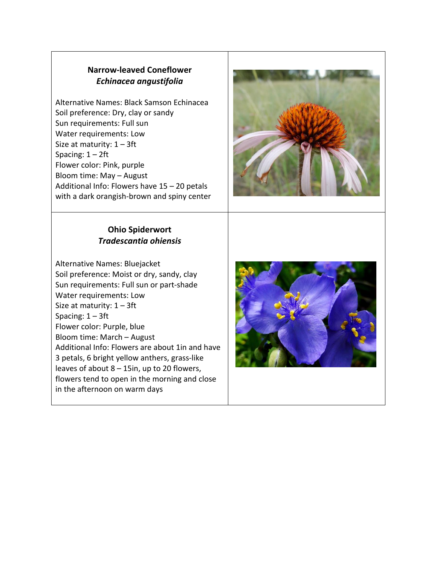## **Narrow-leaved Coneflower** *Echinacea angustifolia*

Alternative Names: Black Samson Echinacea Soil preference: Dry, clay or sandy Sun requirements: Full sun Water requirements: Low Size at maturity:  $1 - 3$ ft Spacing: 1 – 2ft Flower color: Pink, purple Bloom time: May – August Additional Info: Flowers have 15 – 20 petals with a dark orangish-brown and spiny center

#### **Ohio Spiderwort** *Tradescantia ohiensis*

Alternative Names: Bluejacket Soil preference: Moist or dry, sandy, clay Sun requirements: Full sun or part-shade Water requirements: Low Size at maturity:  $1 - 3$ ft Spacing: 1 – 3ft Flower color: Purple, blue Bloom time: March – August Additional Info: Flowers are about 1in and have 3 petals, 6 bright yellow anthers, grass-like leaves of about 8 – 15in, up to 20 flowers, flowers tend to open in the morning and close in the afternoon on warm days